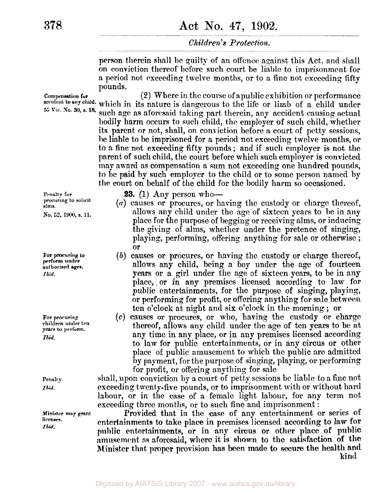# **378 Act No. 47, 1902.**

## *Children's Protection.*

person therein shall be guilty of an offence against this Act, and shall on conviction thereof before such court be liable to imprisonment for a period not exceeding twelve months, or to a fine not exceeding fifty pounds.

**(2)** Where in the course of a public exhibition or performance **to any child.** which in its nature is dangerous to the life or limb of a child under such age as aforesaid taking part therein, any accident causing actual bodily harm occurs to such child, the employer of such child, whether **Compensation for**  *55* Vic. **No. 30,** s. **18.**  its parent or not, shall, on conviction before a court of petty sessions, be liable to he imprisoned for a period not exceeding twelve months, or to a fine not exceeding fifty pounds ; and if such employer is not the parent of such child, the court before which such employer is convicted may award as compensation a sum not exceeding one hundred pounds, to be paid by such employer to the child or to some person named by **the** court on behalf of the child for the bodily harm so occasioned.

**Penalty for procuring to solicit alms. No. 52,** 1900, **s. 11.** 

**For procuring to perform under authorised ages.**  *Ibid.* 

**For procuring children under ten years to perform.**  *Ibid.* 

**Penalty.**  *Ibid.* 

**Minister may grant licenses.**  *Ibid.* 

**23.** (1) Any person who-

- *(a)* causes or procures, or having the custody or charge thereof, allows any child under the age of sixteen years to be in any place for the purpose of begging or receiving alms, or inducing the giving of alms, whether under the pretence of singing, playing, performing, offering anything for sale or otherwise ; or
- *(B)* causes or procures, or having the custody or charge thereof, allows any child, being a boy under *the* age of fourteen years or a girl under the age of sixteen years, to be in any place,, or in any premises licensed according to **law** for public entertainments, for the purpose **of** singing, playing, or performing for profit, or offering anything for sale between ten o'clock at night and six o'clock in the morning ; or
- *(c)* causes or procures, or who, having the custody or charge thereof, allows any child under the age of ten years to be **at**  any time in any place, or in any premises licensed according to law for public entertainments, or in any circus or other place of public amusement to which the public are admitted by payment, for the purpose of singing, playing, or performing for profit, or offering anything for sale

shall, upon conviction by a court of petty sessions be liable to a fine not exceeding twenty-five pounds, or to imprisonment with or without hard labour, or in the case of a female light labour, for any term not exceeding three months, or to such fine and imprisonment :

Provided that in the *case* of any entertainment or series of entertainments to take place in premises licensed according to law for public entertainments, or in any circus or other place **of** public amusement **as** aforesaid, where **it is shown** to the satisfaction **of** the Minister that **proper** provision has been made to secure **the** health and kind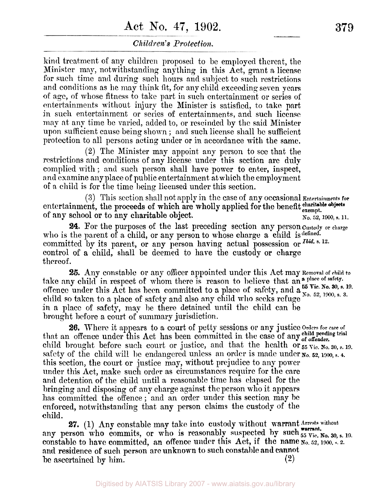# **Act** No, **47, 1902. 379**

## *Children's Protection.*

kind treatment of any children proposed to be employed thereat, the Minister may, notwithstanding anything in this Act, grant **a** license for such time and during such hours and subject to such restrictions and conditions as he may think fit, for any child exceeding seven years of age, of whose fitness to take part in such entertainment or series of entertainments without injury the Minister is satisfied, to take part in such entertainment or series of entertainments, and such license map at any time be varied, added to, or rescinded by the said Minister upon sufficient cause being shown ; and such license shall be sufficient protection to all persons acting under or in accordance with the same.

**(2)** The Minister may appoint any person to see that the restrictions and conditions of any license under this section arc duly complied with ; and such person shall have power to enter, inspect, and examine any place of public entertainment at which the employment of a child is for the time being licensed under this section.

entertainment, the proceeds of which are wholly applied for the benefit charitable objects (3) This section shall not apply in the case of any occasional Entertainments **for**  No. *52, 1900,* **s.** 11. of any school or to any charitable object.

who is the parent of a child, or any person to whose charge a child is defined. committed by its parent, or any person having actual possession or *Ibid.* s. 12. control of a child, shall be deemed to have the custody **or** charge thereof. **24.** For the purposes of the last preceding section any person custody **or charge** 

take any child in respect of whom there is reason to believe that an a place of safety. offence under this Act has been committed to a place of  $\text{safe}$  and  $\mathbf{a}_{N_0}^{59}$  Ne.  $\mathbf{a}_{N_0}^{99}$ ,  $\mathbf{s}, \mathbf{a}_{N_0}^{180}$ **child** so taken to a place of safety and also any child who seeks refuge in a place of safety, may be there detained until the child can be brought before a court of summary jurisdiction. **25.** Any constable or any officer appointed under this Act may **Removal** of **child to**  *55* **Vic. No. 30, s.** *19.* 

26. Where it appears to a court of petty sessions or any justice Orders for care of that an offence under this Act has been committed in the case of any <sup>child</sup> pending trial child brought before such court or justice, and that the health or  $_{55}$   $_{\rm{Vic}}$ ,  $_{\rm{No}}$ ,  $_{30}$ ,  $_{\rm{s}}$ , 19. safety of the child will be endangered unless an order is made under **No. 52, 1900, s. 4.**  this section, the court or justice may, without prejudice to any power under this Act, make such order as circumstances require for the care and detention of the child until a reasonable time has elapsed for the bringing and disposing of any charge against the person who it appears has committed the offence ; and an order under this section may be enforced, notwithstanding that any person claims the custody of the child.

any person who commits, or who is reasonably suspected by such  $_{55}^{5}$  Vic. No. 30, s. 19. constable to have committed, an offence under this Act, if the name  $N_0$ , 52, 1900, s. 2. and **residence of such person arc unknown to such constable and cannot**<br>be ascertained by him. (2) **27.** (1) Any constable may take into custody without warrant Arrests without he ascertained by him. **(2)**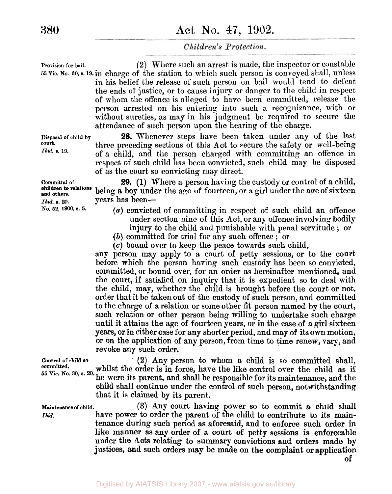**Proviaion for bail. (2)** Where such an arrest is made, the inspector or constable *<sup>55</sup>***Vic. No. 30,** s. 19. in charge of the station to which such person is conveyed shall, unless in his belief the release of such person on bail would tend to defeat the ends of justice, or to cause injury or danger to the child in respect of whom the offence is alleged to have been committed, release the person arrested on his entering into such **a** recognizance, with or without sureties, as may in his judgment be required to secure the attendance of such person upon the hearing of the charge.

> **28.** Whenever steps have been taken under any of the last three preceding sections of this Act to secure the safety or well-being of a child, and the person charged with committing an offence in respect of such child has been convicted, such child may be disposed of as the court so convicting may direct.

**29. (1)** Where **a** person having the custody or control of a child, being a boy under the age of fourteen, **or** a girl under the age of sixteen *Ibid.* **8.** 20. **years** has been—

- *(a)* convicted of committing in respect of such child an offence under section nine of this Act, or any offence involving bodily injury to the child and punishable with penal servitude ; or
- *(B)* committed for trial for any such offence ; or
- *(c)* bound over to keep the peace towards such child,

**any** person may apply to a court of petty sessions, or to the court before which the person having such custody has been so convicted, committed, or bound over, for an order as hereinafter mentioned, and the court, if satisfied on inquiry that it is expedient so to deal with the child, may, whether the child is brought before the court or not, order that it be taken out of the custody **of** such person, and committed to the charge of a relation or some other fit person named by the court, such relation or other person being willing to undertake such charge until it attains the age of fourteen years, or in the case of a girl sixteen **years,** or in either case for any shorter period, and may of its own motion, or on the application of any person, from time to time renew, vary, and revoke any such order.

**Control of child so (2)** Any person to whom a child is so committed shall, whilst the order is in force, have the like control over the child as if he were its parent, and shall be responsible for its maintenance, and the **55 Vic. No. 30, s.** *20.*  child shall continue under the control of such person, notwithstanding that it is claimed **by** its parent. **committed.** 

> **(3)** Any court having power so to commit **a** child shall have power to order the parent of the child to contribute to its maintenance during such period as aforesaid, and to enforce such order in like manner **as** any order of a court of petty sessions is enforceable under the .Acts relating **to** summary convictions and orders made **by**  justices, and such orders **may** be made **on** the complaint or application

**of** 

**Disposal of child by court.**  *Ibid.* **s. 19.** 

**Committal of No. 52,** 1900, **s. 5. children** *to* **relations and others.** 

**Maintenance of child.**  *Ibid.*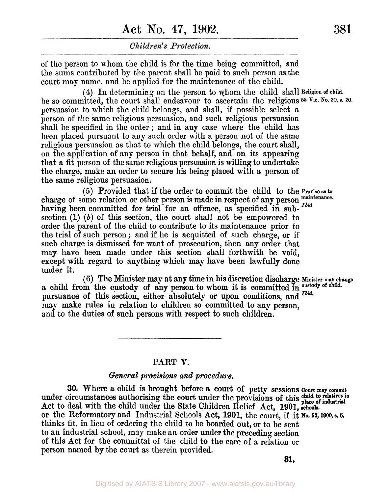# **Act** No. **47, 1902. 381**

Children's Protection.

of the person to whom the child is for the time being committed, and the sums contributed by the parent shall be paid to such person **as** the court may name, and be applied for the maintenance of the child.

be so committed, the court shall endeavour to ascertain the religious  $55$  Vic. No. 30, s. 20. persuasion to which the child belongs and shall, if possible select a person of the same religious persuasion, and such religious persuasion shall be specified in the order ; and in any case where the child has been placed pursuant to any such order with a person not of the same religious persuasion as that to which the child belongs, the court shall, on the application of any person in that behalf, and on its appearing that **a** fit person of the same religious persuasion is willing to undertake the charge, make an order to secure his being placed with a person **of**  the same religious persuasion. **(4)** In determining on the person to whom the child shall **Religion of child.** 

charge of some relation or other person is made in respect of any person maintenance. having been committed for trial for an offence, as specified in sub-<sup>Ibid</sup> section (1) *(b)* of this section, the court shall not be empowered to order the parent of the child to contribute to its maintenance prior to the trial of such person ; and if he is acquitted of such charge, or if such charge is dismissed for want **of** prosecution, then any order that may have been made under this section shall forthwith be void, except with regard to anything which may have been lawfully done under it. *(5)* Provided that if the order to commit the child to the **Proviso as to** 

a child from the custody **of** any person to whom it is committed in **custody of child.**  pursuance of this section, either absolutely or **upon** conditions, and *Ibid.*  may make rules in relation to children so committed to any person, and to the duties of such persons with respect to such children. **(6)** The Minister may at **any** time in his discretion discharge **Minister may change** 

## **PART V.**

### *General provisions and procedure.*

**30.** Where a child is brought before **a** court **of** petty sessions *court* **may commit**  under circumstances authorising the court under the provisions **of** this Act to deal with the child under the State Children Relief Act, 1901, or the Reformatory and Industrial Schools Act, 1901, the court, if it No. 52, 1900, s. 5. thinks fit, in lieu of ordering the child to be boarded out, or to be sent to an industrial school, may make an order under the preceding section of this Act for the committal of the child to the care of a relation or person named by the court **as** therein provided. **child to relatives in place of industrial** 

**31.**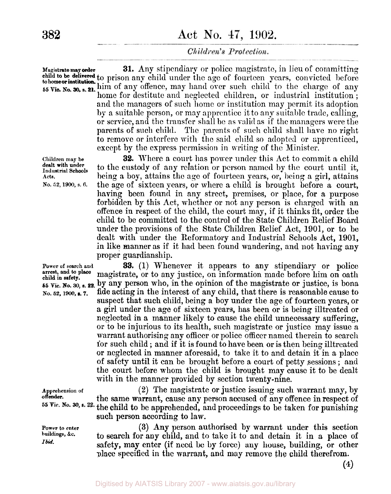**Magistrate may order 55 Vic. No. 30, s. 21.** him of any offence, may hand over such child to the charge of any **31.** Any stipendiary or police magistrate, in lieu of committing **to be delivered** to prison any child under the age of fourteen years, convicted before home for destitute and neglected children, or industrial institution; and the managers of such home or institution may permit its adoption by a suitable person, or may apprentice it to any suitable trade, calling, or service, and the transfer shall be as valid as if the managers were the parents of such child. The parents of such child shall have no right to remove **or** interfere with the said child so adopted or apprenticed, except by the express permission in writing of the Minister. **tohomeor institution.** 

**32.** Where a court has power under this Act to commit a child to the custody of any relation or person named by the court until it, being a boy, attains the age of fourteen years, or, being a girl, attains thc age of sixteen years, or where a child is brought before **a** court, having been found in any street, premises, or place, for a purpose forbidden by this Act, whether or not any person is charged with an offence in respect of the child, the court may, if it thinks fit, order the child to be committed to the control of the State Children Relief Board under the provisions of the State Children Relief Act, 1901, or to be dealt with under the Reformatory and Industrial Schools Act, 1901, in like manner as if it had been found wandering, and not having any proper guardianship.

**Power of search and 33. (1)** Whenever it appears to any stipendiary or police magistrate, or to any justice, on information made before him on oath **<sup>55</sup>**vic. **No. 30,** *s.* **22,** by **any** person who, in the opinion of the magistrate or justice, is bona **No. 52, 1900, 7.** fide acting in the interest of any child, that there is reasonable cause to suspect that such child, being a boy under the age of fourteen years, or a girl under the age of sixteen years, has been or is being illtreated or neglected in a manner likely to cause the child unnecessary suffering, or to be injurious to its health, such magistrate or justice may issue a warrant authorising any officer or police officer named therein to search for such child ; and if it is found to have been or **is** then being-illtreated or neglected in manner aforesaid, to take it to and detain it in a place of safety until it can be brought before a court of petty sessions ; and the court before whom the child is brought may cause it to be dealt with in the manner provided by section twenty-nine.

> **(2)** The magistrate or justice issuing such warrant may, by the same warrant, cause any person accused of any offence in respect of the child to he apprehended, and proceedings to be taken for punishing such **person** according to law.

> **(3)** Any person authorised by warrant under this section to search **for** any child, and to take it to and detain it in **a** place **of**  safety, may enter (i€ need be by **force) any** house, building, or other place specified in the warrant, and may remove the child therefrom.

**Children may be**  Industrial Schools **Acts. dealt with under** 

**No.** *52, 1900,* **s.** 6.

**arrest, and to place child in safety.** 

**Apprehension of offender. 55 Vic. No.** 30

**Power to enter buildings,** *&c. Ibid.* 

**(4)**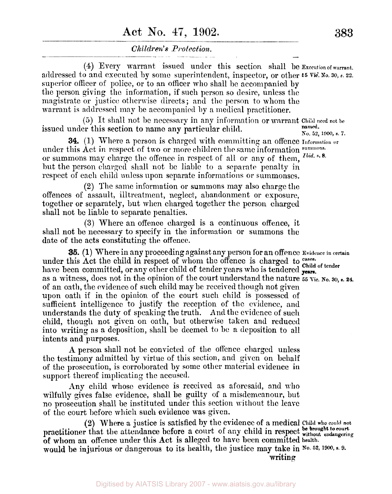# **Act** No. **1902. 383**

### *Children's Protect ion.*

**(4)** Every warrant issued under this section shall be Execution **of warrant.**  addressed to and executed by some superintendent, inspector, or other  $55$  Vic. No. 30, s. 22. superior officer of police, or to an officer who shall be accompanied by the person giving the information, if such person so desire, unless the magistrate or justice otherwise directs ; and the person to whom the warrant is addressed may be accompanied by a medical practitioner.

*(5)* It shall not be necessary in any information or warrant **Child** need **not** be issued under this section to name any particular child. **1900, 1910** named. **No.** 52, 1900, s. 7.

**34.** (1) Where a person is charged with committing an offence **Information**  under this Act in respect of two or more children the same information **summons.**  or summons may charge the offence in respect of all or any of them, *Ibid.* s. but the person charged shall not be liable to a separate penalty in respect of each child unless upon separate informations or summonses.

**(2)** The same information or summons may also charge the offences of assault, illtreatment, neglect, abandonment or exposure, together or separately, but when charged together the person charged shall not be liable to separate penalties.

**(3)** Where an offence charged is a continuous offence, it shall not be necessary to specify in the information or summons the date of the acts constituting the offence.

under this Act the child in respect of whom the offence is charged to **cases.**  have been committed, or any other child of tender years who is tendered **Child of** tendor as a witness, does not in the opinion of the court understand the nature *55* **vic. No. 30,** *s.* **24.**  of an oath, the evidence of such child may be received though not given upon oath if in the opinion of the court such child is possessed of sufficient intelligence to justify the reception of the evidence, and understands the duty of speaking the truth. **And** the evidence of such child, though not given on oath, but otherwise taken and reduced into writing as a deposition, shall be deemed to be a deposition to all intents and purposes. **35.** (1) Where in any proceeding against any person for an offence Evidence **in certain** 

**A** person shall not be convicted of the offence charged unless the testimony admitted by virtue of this section, and given on behalf of the prosecution, is corroborated by some other material evidence **in**  support thereof implicating the accused.

Any child whose evidence is received as aforesaid, and who wilfully gives false evidence, shall be guilty of a misdemeanour, but no prosecution shall be instituted under this section without the leave of the court before which such evidence was given.

**(2)** Where a justice is satisfied by the evidence of a medical **Child who** could **not be brought to court**  practitioner that the attendance **before** a court of my child in respect **without** endangering **of whom** an offence under this Act is alleged to have been committed **health.**  would **be** injurious or dangerous **to** its health, the justice may take **in No. 52, 1900,** *s.9.* 

writing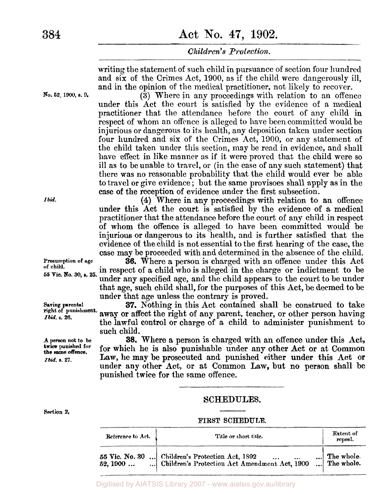writing the statement of such child in pursuance of section four hundred and **six** of the Crimes Act, 1900, as if the child were dangerously ill, and in the opinion of the medical practitioner, not likely to recover.

**(3)** Where in any proceedings with relation to an offence under this Act the court is satisfied by the evidence of a medical practitioner that the attendance before the court of any child in respect of whom an offence is alleged to have been committed would be injurious or dangerous to its health, any deposition taken under section four hundred and six of the Crimes **Act,** 1900, or any statement of the child taken under this section, may be read in evidence, and shall have effect in like manner as if it were proved that the child were so ill as to be unable to travel, or (in the case of any such statement) that there **was** no reasonable probability that the child would ever be able to travel or give evidence ; but the same provisoes shall apply as in the case of the reception of evidence under the first subsection.

**(4)** Where in any proceedings with relation to an offence under this Act the court is satisfied by the evidence of **a** medical practitioner that the attendance before the court of any child in respect of whom the offence is alleged to have been committed would be injurious or dangerous to its health, and is further satisfied that the evidence of the child is not essential to the first hearing of the case, the case may be proceeded with and determined in the absence of the child.

**36.** Where a person is charged with an offencc under this Act in respect of **a** child who is alleged in the charge or indictment to be under any specified age, and the child appears to the court to be under that age, such child shall, for the purposes of this Act, be deemed to be under that age unless the contrary is proved.

**37.** Nothing in this Act contained shall be construed to take away or affect the right of any parent, teacher, or other person having the lawful control or charge of **a** child to administer punishment to such child.

**38.** Where a person is charged with **an** offence under this Act, for which he is also punishable under any other Act **or** at Common Law, he may be prosecuted and punished either under this Act **or**  under any other Act, **or** at Common Law, but **no** person shall be punished twice **for** the **same** offence.

## SCHEDULES.

#### **FIRST SCHEDULE.**

| Reference to Act. | Title or short title.                                                                                       | Extent of<br>repeal.                       |
|-------------------|-------------------------------------------------------------------------------------------------------------|--------------------------------------------|
|                   | 55 Vic. No. 30  Children's Protection Act, 1892<br>52, 1900   Children's Protection Act Amendment Act, 1900 | $\ldots$ The whole.<br>$\ldots$ The whole. |

**No. 52, 1900, a.** *9.* 

*Ibid.* 

**Presumption of age of child. 55 Vic. No. 30, a. 25.** 

**Saving parental right of punishment.**  *Ibid.* **s. 26.** 

**A person not to be twice** punished for *Ibid.* **s.** 27. **the same offence.** 

**Section 2.**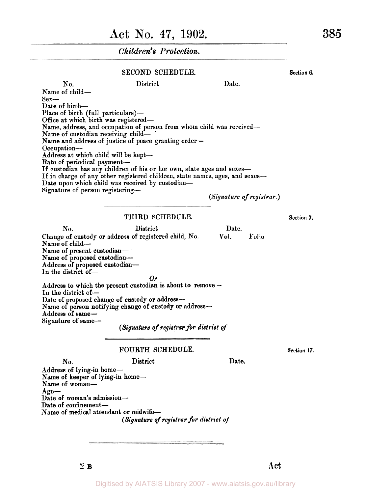#### SECOND SCHEDULE. Section 6.

| No.                                   | District                                                                     | Date.                     |
|---------------------------------------|------------------------------------------------------------------------------|---------------------------|
| Name of child-                        |                                                                              |                           |
| $Sex-$                                |                                                                              |                           |
| Date of birth—                        |                                                                              |                           |
| Place of birth (full particulars)-    |                                                                              |                           |
| Office at which birth was registered- |                                                                              |                           |
|                                       | Name, address, and occupation of person from whom child was received-        |                           |
| Name of custodian receiving child-    |                                                                              |                           |
|                                       | Name and address of justice of peace granting order-                         |                           |
| $Occ$ upation—                        |                                                                              |                           |
| Address at which child will be kept-  |                                                                              |                           |
| Rate of periodical payment-           |                                                                              |                           |
|                                       | If custodian has any children of his or her own, state ages and sexes-       |                           |
|                                       | If in charge of any other registered children, state names, ages, and sexes- |                           |
|                                       | Date upon which child was received by custodian-                             |                           |
| Signature of person registering-      |                                                                              |                           |
|                                       |                                                                              | (Signature of registrar.) |
|                                       |                                                                              |                           |

#### THIRD **SCHEDULE. Section 7.**

No. District Date. Change of custody or address of registered child, No. Name of child-Name of present custodian-Name of proposed custodian-Address of proposed custodian-In the district of-Address *to* which the present custodian is about **to** remove - In the district of-Date of proposed change of custody or address-Name of person notifying change of custody or address-Address of same-Signature of same-**Vol. Folio**  *Or* 

*(Signature of registrar for district of* 

#### FOURTH SCHEDULE.

**Section 17.** 

No. District Date. Address of lying-in home-Name of keeper of lying-in **homo-**Name of woman-Date of woman's admission-Date of confinement-Name of medical attendant or midwife-**Age-**  *(Signature of registrar for district of*